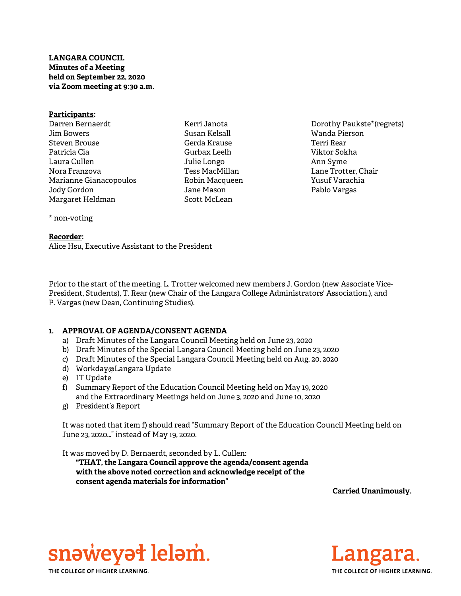# LANGARA COUNCIL Minutes of a Meeting held on September 22, 2020 via Zoom meeting at 9:30 a.m.

#### Participants: Darren Bernaerdt

Jim Bowers Steven Brouse Patricia Cia Laura Cullen Nora Franzova Marianne Gianacopoulos Jody Gordon Margaret Heldman

Kerri Janota Susan Kelsall Gerda Krause Gurbax Leelh Julie Longo Tess MacMillan Robin Macqueen Jane Mason Scott McLean

Dorothy Paukste\*(regrets) Wanda Pierson Terri Rear Viktor Sokha Ann Syme Lane Trotter, Chair Yusuf Varachia Pablo Vargas

# \* non-voting

#### Recorder:

Alice Hsu, Executive Assistant to the President

Prior to the start of the meeting, L. Trotter welcomed new members J. Gordon (new Associate Vice-President, Students), T. Rear (new Chair of the Langara College Administrators' Association.), and P. Vargas (new Dean, Continuing Studies).

# 1. APPROVAL OF AGENDA/CONSENT AGENDA

- a) Draft Minutes of the Langara Council Meeting held on June 23, 2020
- b) Draft Minutes of the Special Langara Council Meeting held on June 23, 2020
- c) Draft Minutes of the Special Langara Council Meeting held on Aug. 20, 2020
- d) Workday@Langara Update
- e) IT Update
- f) Summary Report of the Education Council Meeting held on May 19, 2020 and the Extraordinary Meetings held on June 3, 2020 and June 10, 2020
- g) President's Report

It was noted that item f) should read "Summary Report of the Education Council Meeting held on June 23, 2020…" instead of May 19, 2020.

It was moved by D. Bernaerdt, seconded by L. Cullen:

"THAT, the Langara Council approve the agenda/consent agenda with the above noted correction and acknowledge receipt of the consent agenda materials for information"

Carried Unanimously.



THE COLLEGE OF HIGHER LEARNING.

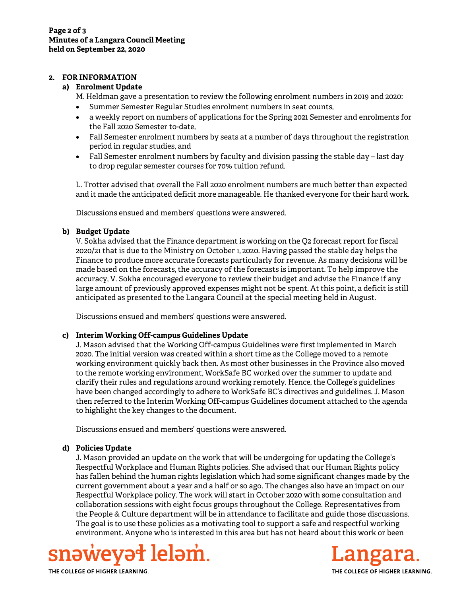## 2. FOR INFORMATION

# a) Enrolment Update

- M. Heldman gave a presentation to review the following enrolment numbers in 2019 and 2020:
- Summer Semester Regular Studies enrolment numbers in seat counts,
- a weekly report on numbers of applications for the Spring 2021 Semester and enrolments for the Fall 2020 Semester to-date,
- Fall Semester enrolment numbers by seats at a number of days throughout the registration period in regular studies, and
- Fall Semester enrolment numbers by faculty and division passing the stable day last day to drop regular semester courses for 70% tuition refund.

L. Trotter advised that overall the Fall 2020 enrolment numbers are much better than expected and it made the anticipated deficit more manageable. He thanked everyone for their hard work.

Discussions ensued and members' questions were answered.

# b) Budget Update

V. Sokha advised that the Finance department is working on the Q2 forecast report for fiscal 2020/21 that is due to the Ministry on October 1, 2020. Having passed the stable day helps the Finance to produce more accurate forecasts particularly for revenue. As many decisions will be made based on the forecasts, the accuracy of the forecasts is important. To help improve the accuracy, V. Sokha encouraged everyone to review their budget and advise the Finance if any large amount of previously approved expenses might not be spent. At this point, a deficit is still anticipated as presented to the Langara Council at the special meeting held in August.

Discussions ensued and members' questions were answered.

## c) Interim Working Off-campus Guidelines Update

J. Mason advised that the Working Off-campus Guidelines were first implemented in March 2020. The initial version was created within a short time as the College moved to a remote working environment quickly back then. As most other businesses in the Province also moved to the remote working environment, WorkSafe BC worked over the summer to update and clarify their rules and regulations around working remotely. Hence, the College's guidelines have been changed accordingly to adhere to WorkSafe BC's directives and guidelines. J. Mason then referred to the Interim Working Off-campus Guidelines document attached to the agenda to highlight the key changes to the document.

Discussions ensued and members' questions were answered.

## d) Policies Update

J. Mason provided an update on the work that will be undergoing for updating the College's Respectful Workplace and Human Rights policies. She advised that our Human Rights policy has fallen behind the human rights legislation which had some significant changes made by the current government about a year and a half or so ago. The changes also have an impact on our Respectful Workplace policy. The work will start in October 2020 with some consultation and collaboration sessions with eight focus groups throughout the College. Representatives from the People & Culture department will be in attendance to facilitate and guide those discussions. The goal is to use these policies as a motivating tool to support a safe and respectful working environment. Anyone who is interested in this area but has not heard about this work or been





THE COLLEGE OF HIGHER LEARNING.